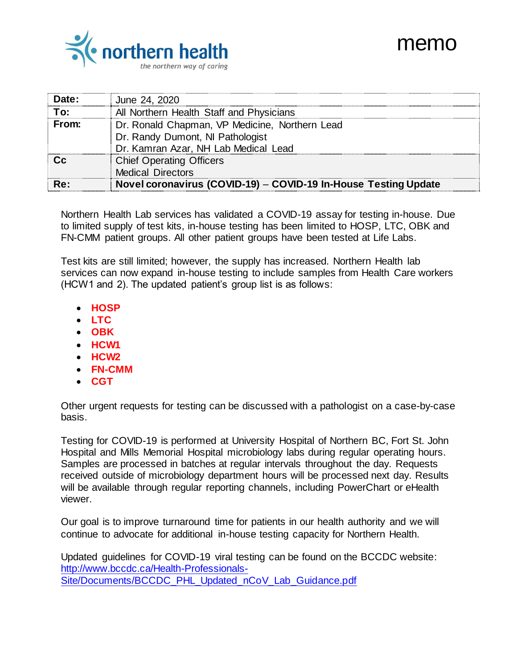## memo



| Date: | June 24, 2020                                                   |
|-------|-----------------------------------------------------------------|
| Гο:   | All Northern Health Staff and Physicians                        |
| From: | Dr. Ronald Chapman, VP Medicine, Northern Lead                  |
|       | Dr. Randy Dumont, NI Pathologist                                |
|       | Dr. Kamran Azar, NH Lab Medical Lead                            |
|       | <b>Chief Operating Officers</b>                                 |
|       | <b>Medical Directors</b>                                        |
| Re:   | Novel coronavirus (COVID-19) - COVID-19 In-House Testing Update |

Northern Health Lab services has validated a COVID-19 assay for testing in-house. Due to limited supply of test kits, in-house testing has been limited to HOSP, LTC, OBK and FN-CMM patient groups. All other patient groups have been tested at Life Labs.

Test kits are still limited; however, the supply has increased. Northern Health lab services can now expand in-house testing to include samples from Health Care workers (HCW1 and 2). The updated patient's group list is as follows:

- **HOSP**
- **LTC**
- **OBK**
- **HCW1**
- **HCW2**
- **FN-CMM**
- **CGT**

Other urgent requests for testing can be discussed with a pathologist on a case-by-case basis.

Testing for COVID-19 is performed at University Hospital of Northern BC, Fort St. John Hospital and Mills Memorial Hospital microbiology labs during regular operating hours. Samples are processed in batches at regular intervals throughout the day. Requests received outside of microbiology department hours will be processed next day. Results will be available through regular reporting channels, including PowerChart or eHealth viewer.

Our goal is to improve turnaround time for patients in our health authority and we will continue to advocate for additional in-house testing capacity for Northern Health.

Updated guidelines for COVID-19 viral testing can be found on the BCCDC website: [http://www.bccdc.ca/Health-Professionals-](http://www.bccdc.ca/Health-Professionals-Site/Documents/BCCDC_PHL_Updated_nCoV_Lab_Guidance.pdf)[Site/Documents/BCCDC\\_PHL\\_Updated\\_nCoV\\_Lab\\_Guidance.pdf](http://www.bccdc.ca/Health-Professionals-Site/Documents/BCCDC_PHL_Updated_nCoV_Lab_Guidance.pdf)